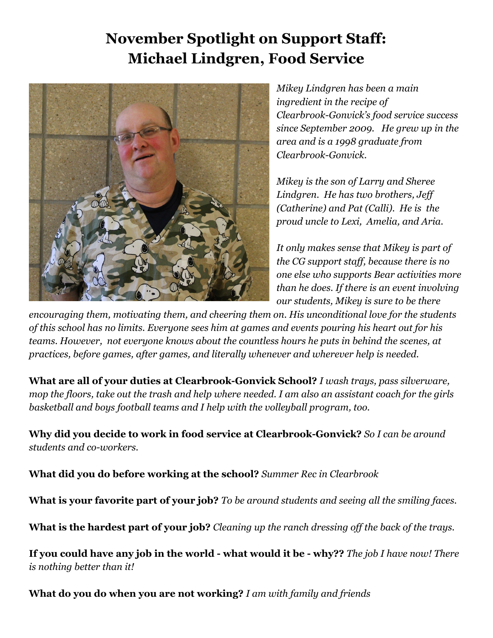## **November Spotlight on Support Staff: Michael Lindgren, Food Service**



*Mikey Lindgren has been a main ingredient in the recipe of Clearbrook-Gonvick's food service success since September 2009. He grew up in the area and is a 1998 graduate from Clearbrook-Gonvick.*

*Mikey is the son of Larry and Sheree Lindgren. He has two brothers, Jeff (Catherine) and Pat (Calli). He is the proud uncle to Lexi, Amelia, and Aria.*

*It only makes sense that Mikey is part of the CG support staff, because there is no one else who supports Bear activities more than he does. If there is an event involving our students, Mikey is sure to be there*

*encouraging them, motivating them, and cheering them on. His unconditional love for the students of this school has no limits. Everyone sees him at games and events pouring his heart out for his teams. However, not everyone knows about the countless hours he puts in behind the scenes, at practices, before games, after games, and literally whenever and wherever help is needed.*

**What are all of your duties at Clearbrook-Gonvick School?** *I wash trays, pass silverware, mop the floors, take out the trash and help where needed. I am also an assistant coach for the girls basketball and boys football teams and I help with the volleyball program, too.*

**Why did you decide to work in food service at Clearbrook-Gonvick?** *So I can be around students and co-workers.*

**What did you do before working at the school?** *Summer Rec in Clearbrook*

**What is your favorite part of your job?** *To be around students and seeing all the smiling faces.*

**What is the hardest part of your job?** *Cleaning up the ranch dressing off the back of the trays.*

**If you could have any job in the world - what would it be - why??** *The job I have now! There is nothing better than it!*

**What do you do when you are not working?** *I am with family and friends*